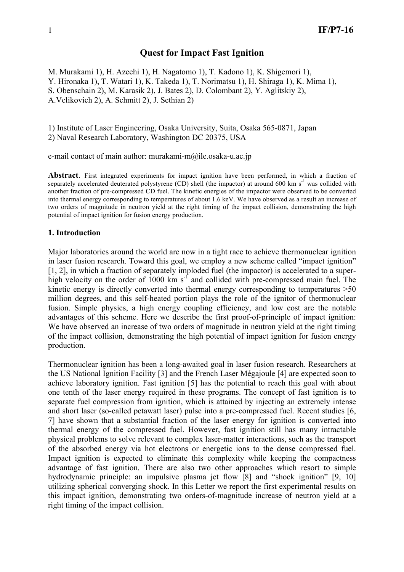# **Quest for Impact Fast Ignition**

M. Murakami 1), H. Azechi 1), H. Nagatomo 1), T. Kadono 1), K. Shigemori 1), Y. Hironaka 1), T. Watari 1), K. Takeda 1), T. Norimatsu 1), H. Shiraga 1), K. Mima 1), S. Obenschain 2), M. Karasik 2), J. Bates 2), D. Colombant 2), Y. Aglitskiy 2), A.Velikovich 2), A. Schmitt 2), J. Sethian 2)

1) Institute of Laser Engineering, Osaka University, Suita, Osaka 565-0871, Japan 2) Naval Research Laboratory, Washington DC 20375, USA

e-mail contact of main author: murakami-m@ile.osaka-u.ac.jp

**Abstract**. First integrated experiments for impact ignition have been performed, in which a fraction of separately accelerated deuterated polystyrene (CD) shell (the impactor) at around 600 km s<sup>-1</sup> was collided with another fraction of pre-compressed CD fuel. The kinetic energies of the impactor were observed to be converted into thermal energy corresponding to temperatures of about 1.6 keV. We have observed as a result an increase of two orders of magnitude in neutron yield at the right timing of the impact collision, demonstrating the high potential of impact ignition for fusion energy production.

# **1. Introduction**

Major laboratories around the world are now in a tight race to achieve thermonuclear ignition in laser fusion research. Toward this goal, we employ a new scheme called "impact ignition" [1, 2], in which a fraction of separately imploded fuel (the impactor) is accelerated to a superhigh velocity on the order of  $1000 \text{ km s}^{-1}$  and collided with pre-compressed main fuel. The kinetic energy is directly converted into thermal energy corresponding to temperatures >50 million degrees, and this self-heated portion plays the role of the ignitor of thermonuclear fusion. Simple physics, a high energy coupling efficiency, and low cost are the notable advantages of this scheme. Here we describe the first proof-of-principle of impact ignition: We have observed an increase of two orders of magnitude in neutron yield at the right timing of the impact collision, demonstrating the high potential of impact ignition for fusion energy production.

Thermonuclear ignition has been a long-awaited goal in laser fusion research. Researchers at the US National Ignition Facility [3] and the French Laser Mégajoule [4] are expected soon to achieve laboratory ignition. Fast ignition [5] has the potential to reach this goal with about one tenth of the laser energy required in these programs. The concept of fast ignition is to separate fuel compression from ignition, which is attained by injecting an extremely intense and short laser (so-called petawatt laser) pulse into a pre-compressed fuel. Recent studies [6, 7] have shown that a substantial fraction of the laser energy for ignition is converted into thermal energy of the compressed fuel. However, fast ignition still has many intractable physical problems to solve relevant to complex laser-matter interactions, such as the transport of the absorbed energy via hot electrons or energetic ions to the dense compressed fuel. Impact ignition is expected to eliminate this complexity while keeping the compactness advantage of fast ignition. There are also two other approaches which resort to simple hydrodynamic principle: an impulsive plasma jet flow [8] and "shock ignition" [9, 10] utilizing spherical converging shock. In this Letter we report the first experimental results on this impact ignition, demonstrating two orders-of-magnitude increase of neutron yield at a right timing of the impact collision.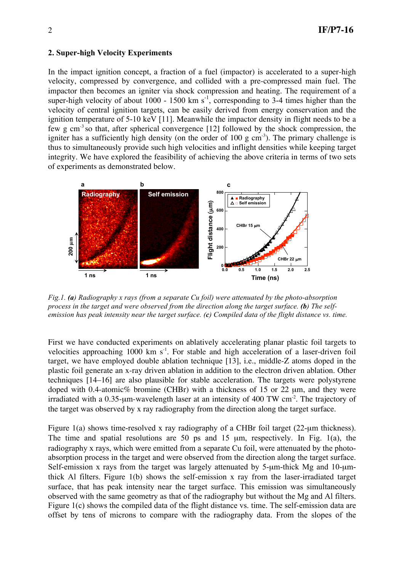# **2. Super-high Velocity Experiments**

In the impact ignition concept, a fraction of a fuel (impactor) is accelerated to a super-high velocity, compressed by convergence, and collided with a pre-compressed main fuel. The impactor then becomes an igniter via shock compression and heating. The requirement of a super-high velocity of about 1000 - 1500 km  $s^{-1}$ , corresponding to 3-4 times higher than the velocity of central ignition targets, can be easily derived from energy conservation and the ignition temperature of 5-10 keV [11]. Meanwhile the impactor density in flight needs to be a few g cm<sup>-3</sup> so that, after spherical convergence  $[12]$  followed by the shock compression, the igniter has a sufficiently high density (on the order of  $100 \text{ g cm}^3$ ). The primary challenge is thus to simultaneously provide such high velocities and inflight densities while keeping target integrity. We have explored the feasibility of achieving the above criteria in terms of two sets of experiments as demonstrated below.



*Fig.1. (a) Radiography x rays (from a separate Cu foil) were attenuated by the photo-absorption*  $P_{\text{G}}(x)$  is the target and were observed from the direction along the target surface. (b) The selfemission has peak intensity near the target surface.  $(c)$  Compiled data of the flight distance vs. time.

First we have conducted experiments on ablatively accelerating planar plastic foil targets to velocities approaching  $1000 \text{ km s}^{-1}$ . For stable and high acceleration of a laser-driven foil target, we have employed double ablation technique [13], i.e., middle-Z atoms doped in the plastic foil generate an x-ray driven ablation in addition to the electron driven ablation. Other techniques [14–16] are also plausible for stable acceleration. The targets were polystyrene doped with 0.4-atomic% bromine (CHBr) with a thickness of 15 or 22  $\mu$ m, and they were irradiated with a 0.35-µm-wavelength laser at an intensity of 400 TW cm<sup>-2</sup>. The trajectory of the target was observed by x ray radiography from the direction along the target surface.

Figure 1(a) shows time-resolved x ray radiography of a CHBr foil target (22-µm thickness). The time and spatial resolutions are 50 ps and 15 µm, respectively. In Fig. 1(a), the radiography x rays, which were emitted from a separate Cu foil, were attenuated by the photoabsorption process in the target and were observed from the direction along the target surface. Self-emission x rays from the target was largely attenuated by 5-µm-thick Mg and 10-µmthick Al filters. Figure 1(b) shows the self-emission x ray from the laser-irradiated target surface, that has peak intensity near the target surface. This emission was simultaneously observed with the same geometry as that of the radiography but without the Mg and Al filters. Figure 1(c) shows the compiled data of the flight distance vs. time. The self-emission data are offset by tens of microns to compare with the radiography data. From the slopes of the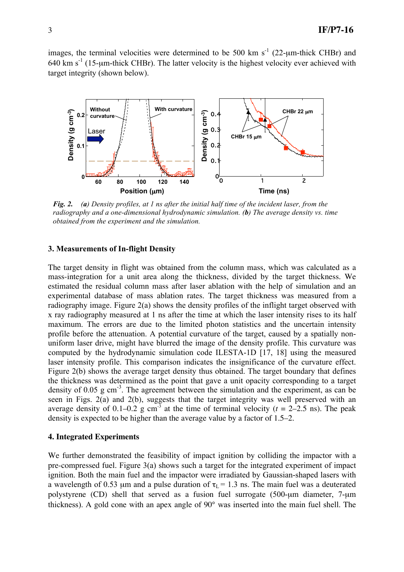images, the terminal velocities were determined to be 500 km  $s^{-1}$  (22- $\mu$ m-thick CHBr) and 640 km  $s^{-1}$  (15-µm-thick CHBr). The latter velocity is the highest velocity ever achieved with target integrity (shown below).



Fig. 2. (a) Density profiles, at 1 ns after the initial half time of the incident laser, from the *radiography and a one-dimensional hydrodynamic simulation. (b) The average density vs. time obtained from the experiment and the simulation.*

# **3. Measurements of In-flight Density**

The target density in flight was obtained from the column mass, which was calculated as a mass-integration for a unit area along the thickness, divided by the target thickness. We estimated the residual column mass after laser ablation with the help of simulation and an experimental database of mass ablation rates. The target thickness was measured from a radiography image. Figure 2(a) shows the density profiles of the inflight target observed with x ray radiography measured at 1 ns after the time at which the laser intensity rises to its half maximum. The errors are due to the limited photon statistics and the uncertain intensity profile before the attenuation. A potential curvature of the target, caused by a spatially nonuniform laser drive, might have blurred the image of the density profile. This curvature was computed by the hydrodynamic simulation code ILESTA-1D [17, 18] using the measured laser intensity profile. This comparison indicates the insignificance of the curvature effect. Figure 2(b) shows the average target density thus obtained. The target boundary that defines the thickness was determined as the point that gave a unit opacity corresponding to a target density of 0.05 g cm<sup>-3</sup>. The agreement between the simulation and the experiment, as can be seen in Figs. 2(a) and 2(b), suggests that the target integrity was well preserved with an average density of 0.1–0.2 g cm<sup>-3</sup> at the time of terminal velocity ( $t = 2-2.5$  ns). The peak density is expected to be higher than the average value by a factor of 1.5–2.

### **4. Integrated Experiments**

We further demonstrated the feasibility of impact ignition by colliding the impactor with a pre-compressed fuel. Figure 3(a) shows such a target for the integrated experiment of impact ignition. Both the main fuel and the impactor were irradiated by Gaussian-shaped lasers with a wavelength of 0.53 µm and a pulse duration of  $\tau_L$  = 1.3 ns. The main fuel was a deuterated polystyrene (CD) shell that served as a fusion fuel surrogate (500-µm diameter, 7-µm thickness). A gold cone with an apex angle of 90° was inserted into the main fuel shell. The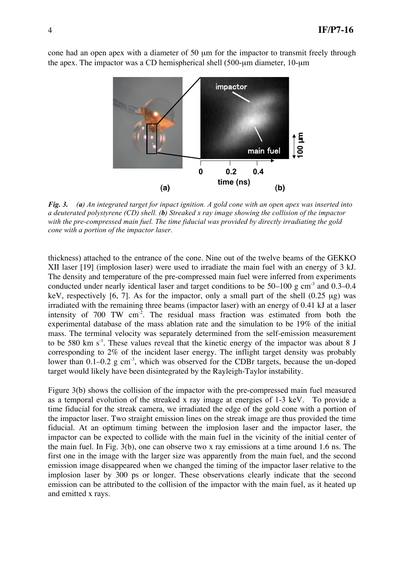cone had an open apex with a diameter of 50 µm for the impactor to transmit freely through the apex. The impactor was a CD hemispherical shell (500-µm diameter, 10-µm



Fig. 3. (a) An integrated target for inpact ignition. A gold cone with an open apex was inserted into a deuterated polystyrene (CD) shell. (b) Streaked x ray image showing the collision of the impactor *with the pre-compressed main fuel. The time fiducial was provided by directly irradiating the gold cone with a portion of the impactor laser.*

thickness) attached to the entrance of the cone. Nine out of the twelve beams of the GEKKO XII laser [19] (implosion laser) were used to irradiate the main fuel with an energy of 3 kJ. The density and temperature of the pre-compressed main fuel were inferred from experiments conducted under nearly identical laser and target conditions to be  $50-100$  g cm<sup>-3</sup> and 0.3–0.4 keV, respectively [6, 7]. As for the impactor, only a small part of the shell  $(0.25 \mu g)$  was irradiated with the remaining three beams (impactor laser) with an energy of 0.41 kJ at a laser intensity of  $700$  TW cm<sup>-2</sup>. The residual mass fraction was estimated from both the experimental database of the mass ablation rate and the simulation to be 19% of the initial mass. The terminal velocity was separately determined from the self-emission measurement to be 580 km  $s^{-1}$ . These values reveal that the kinetic energy of the impactor was about 8 J corresponding to 2% of the incident laser energy. The inflight target density was probably lower than  $0.1-0.2$  g cm<sup>-3</sup>, which was observed for the CDBr targets, because the un-doped target would likely have been disintegrated by the Rayleigh-Taylor instability.

Figure 3(b) shows the collision of the impactor with the pre-compressed main fuel measured as a temporal evolution of the streaked x ray image at energies of 1-3 keV. To provide a time fiducial for the streak camera, we irradiated the edge of the gold cone with a portion of the impactor laser. Two straight emission lines on the streak image are thus provided the time fiducial. At an optimum timing between the implosion laser and the impactor laser, the impactor can be expected to collide with the main fuel in the vicinity of the initial center of the main fuel. In Fig. 3(b), one can observe two x ray emissions at a time around 1.6 ns. The first one in the image with the larger size was apparently from the main fuel, and the second emission image disappeared when we changed the timing of the impactor laser relative to the implosion laser by 300 ps or longer. These observations clearly indicate that the second emission can be attributed to the collision of the impactor with the main fuel, as it heated up and emitted x rays.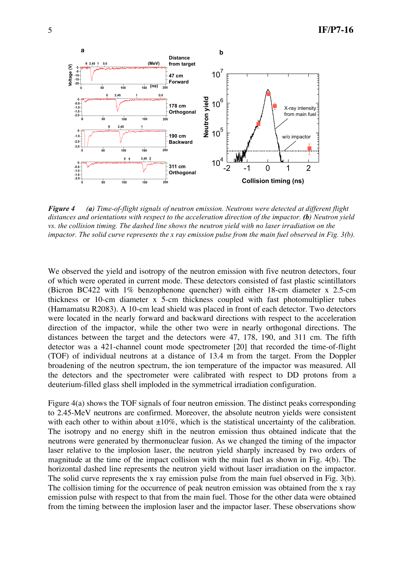

Figure 4 (a) Time-of-flight signals of neutron emission. Neutrons were detected at different flight *distances and orientations with respect to the acceleration direction of the impactor. (b) Neutron yield vs. the collision timing. The dashed line shows the neutron yield with no laser irradiation on the* impactor. The solid curve represents the x ray emission pulse from the main fuel observed in Fig.  $3(b)$ .

We observed the yield and isotropy of the neutron emission with five neutron detectors, four of which were operated in current mode. These detectors consisted of fast plastic scintillators (Bicron BC422 with 1% benzophenone quencher) with either 18-cm diameter x 2.5-cm thickness or 10-cm diameter x 5-cm thickness coupled with fast photomultiplier tubes (Hamamatsu R2083). A 10-cm lead shield was placed in front of each detector. Two detectors were located in the nearly forward and backward directions with respect to the acceleration direction of the impactor, while the other two were in nearly orthogonal directions. The distances between the target and the detectors were 47, 178, 190, and 311 cm. The fifth detector was a 421-channel count mode spectrometer [20] that recorded the time-of-flight (TOF) of individual neutrons at a distance of 13.4 m from the target. From the Doppler broadening of the neutron spectrum, the ion temperature of the impactor was measured. All the detectors and the spectrometer were calibrated with respect to DD protons from a deuterium-filled glass shell imploded in the symmetrical irradiation configuration.

Figure 4(a) shows the TOF signals of four neutron emission. The distinct peaks corresponding to 2.45-MeV neutrons are confirmed. Moreover, the absolute neutron yields were consistent with each other to within about  $\pm 10\%$ , which is the statistical uncertainty of the calibration. The isotropy and no energy shift in the neutron emission thus obtained indicate that the neutrons were generated by thermonuclear fusion. As we changed the timing of the impactor laser relative to the implosion laser, the neutron yield sharply increased by two orders of magnitude at the time of the impact collision with the main fuel as shown in Fig. 4(b). The horizontal dashed line represents the neutron yield without laser irradiation on the impactor. The solid curve represents the x ray emission pulse from the main fuel observed in Fig. 3(b). The collision timing for the occurrence of peak neutron emission was obtained from the x ray emission pulse with respect to that from the main fuel. Those for the other data were obtained from the timing between the implosion laser and the impactor laser. These observations show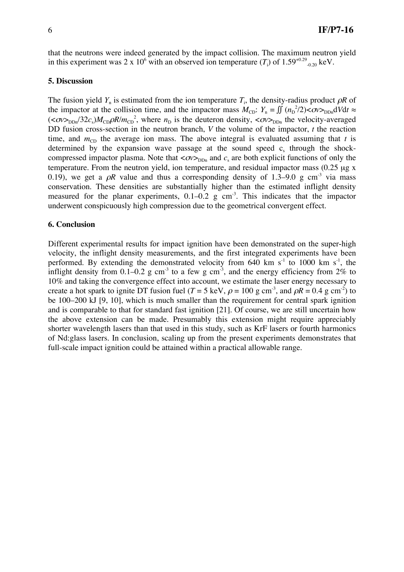that the neutrons were indeed generated by the impact collision. The maximum neutron yield in this experiment was 2 x 10<sup>6</sup> with an observed ion temperature  $(T_i)$  of 1.59<sup>+0.29</sup><sub>-0.20</sub> keV.

### **5. Discussion**

The fusion yield  $Y_n$  is estimated from the ion temperature  $T_i$ , the density-radius product  $\rho R$  of the impactor at the collision time, and the impactor mass  $M_{CD}$ :  $Y_n = \iint (n_D^2/2) < \sigma v >_{DDn} dV dt \approx$  $(<\!\!\sigma v\!\!>_{DDn}/32c_s)M_{CD}\rho R/m_{CD}^2$ , where  $n_D$  is the deuteron density,  $<\!\!\sigma v\!\!>_{DDn}$  the velocity-averaged DD fusion cross-section in the neutron branch, *V* the volume of the impactor, *t* the reaction time, and  $m_{CD}$  the average ion mass. The above integral is evaluated assuming that *t* is determined by the expansion wave passage at the sound speed  $c_s$  through the shockcompressed impactor plasma. Note that  $< \sigma v_{\text{DDn}}$  and  $c_s$  are both explicit functions of only the temperature. From the neutron yield, ion temperature, and residual impactor mass  $(0.25 \mu g x)$ 0.19), we get a  $\rho R$  value and thus a corresponding density of 1.3–9.0 g cm<sup>-3</sup> via mass conservation. These densities are substantially higher than the estimated inflight density measured for the planar experiments,  $0.1-0.2$  g cm<sup>-3</sup>. This indicates that the impactor underwent conspicuously high compression due to the geometrical convergent effect.

### **6. Conclusion**

Different experimental results for impact ignition have been demonstrated on the super-high velocity, the inflight density measurements, and the first integrated experiments have been performed. By extending the demonstrated velocity from  $640 \text{ km s}^{-1}$  to  $1000 \text{ km s}^{-1}$ , the inflight density from 0.1–0.2 g cm<sup>-3</sup> to a few g cm<sup>-3</sup>, and the energy efficiency from 2% to 10% and taking the convergence effect into account, we estimate the laser energy necessary to create a hot spark to ignite DT fusion fuel (*T* = 5 keV,  $\rho$  = 100 g cm<sup>-3</sup>, and  $\rho$ *R* = 0.4 g cm<sup>-2</sup>) to be 100–200 kJ [9, 10], which is much smaller than the requirement for central spark ignition and is comparable to that for standard fast ignition [21]. Of course, we are still uncertain how the above extension can be made. Presumably this extension might require appreciably shorter wavelength lasers than that used in this study, such as KrF lasers or fourth harmonics of Nd:glass lasers. In conclusion, scaling up from the present experiments demonstrates that full-scale impact ignition could be attained within a practical allowable range.